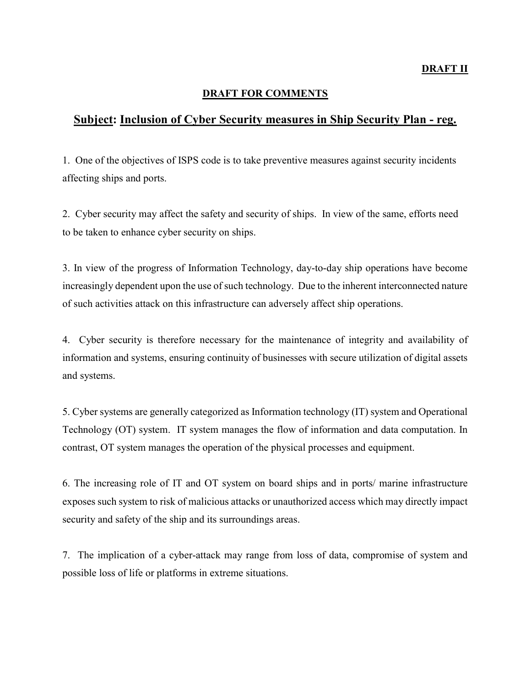## DRAFT FOR COMMENTS

## Subject: Inclusion of Cyber Security measures in Ship Security Plan - reg.

1. One of the objectives of ISPS code is to take preventive measures against security incidents affecting ships and ports.

2. Cyber security may affect the safety and security of ships. In view of the same, efforts need to be taken to enhance cyber security on ships.

3. In view of the progress of Information Technology, day-to-day ship operations have become increasingly dependent upon the use of such technology. Due to the inherent interconnected nature of such activities attack on this infrastructure can adversely affect ship operations.

4. Cyber security is therefore necessary for the maintenance of integrity and availability of information and systems, ensuring continuity of businesses with secure utilization of digital assets and systems.

5. Cyber systems are generally categorized as Information technology (IT) system and Operational Technology (OT) system. IT system manages the flow of information and data computation. In contrast, OT system manages the operation of the physical processes and equipment.

6. The increasing role of IT and OT system on board ships and in ports/ marine infrastructure exposes such system to risk of malicious attacks or unauthorized access which may directly impact security and safety of the ship and its surroundings areas.

7. The implication of a cyber-attack may range from loss of data, compromise of system and possible loss of life or platforms in extreme situations.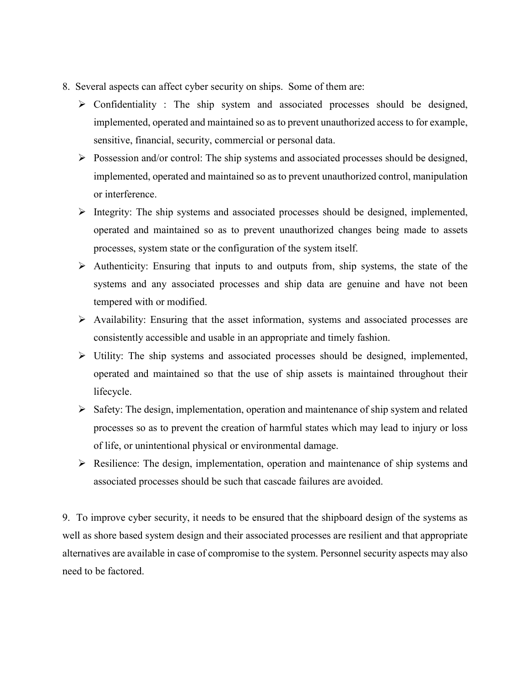- 8. Several aspects can affect cyber security on ships. Some of them are:
	- $\triangleright$  Confidentiality : The ship system and associated processes should be designed, implemented, operated and maintained so as to prevent unauthorized access to for example, sensitive, financial, security, commercial or personal data.
	- $\triangleright$  Possession and/or control: The ship systems and associated processes should be designed, implemented, operated and maintained so as to prevent unauthorized control, manipulation or interference.
	- $\triangleright$  Integrity: The ship systems and associated processes should be designed, implemented, operated and maintained so as to prevent unauthorized changes being made to assets processes, system state or the configuration of the system itself.
	- $\triangleright$  Authenticity: Ensuring that inputs to and outputs from, ship systems, the state of the systems and any associated processes and ship data are genuine and have not been tempered with or modified.
	- $\triangleright$  Availability: Ensuring that the asset information, systems and associated processes are consistently accessible and usable in an appropriate and timely fashion.
	- Utility: The ship systems and associated processes should be designed, implemented, operated and maintained so that the use of ship assets is maintained throughout their lifecycle.
	- $\triangleright$  Safety: The design, implementation, operation and maintenance of ship system and related processes so as to prevent the creation of harmful states which may lead to injury or loss of life, or unintentional physical or environmental damage.
	- $\triangleright$  Resilience: The design, implementation, operation and maintenance of ship systems and associated processes should be such that cascade failures are avoided.

9. To improve cyber security, it needs to be ensured that the shipboard design of the systems as well as shore based system design and their associated processes are resilient and that appropriate alternatives are available in case of compromise to the system. Personnel security aspects may also need to be factored.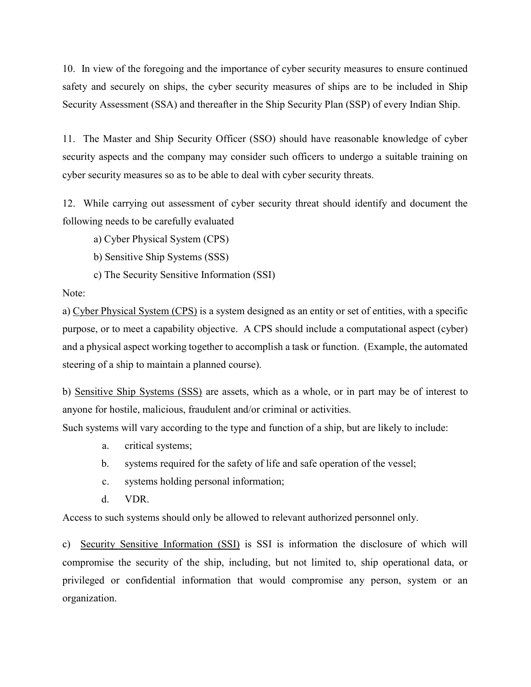10. In view of the foregoing and the importance of cyber security measures to ensure continued safety and securely on ships, the cyber security measures of ships are to be included in Ship Security Assessment (SSA) and thereafter in the Ship Security Plan (SSP) of every Indian Ship.

11. The Master and Ship Security Officer (SSO) should have reasonable knowledge of cyber security aspects and the company may consider such officers to undergo a suitable training on cyber security measures so as to be able to deal with cyber security threats.

12. While carrying out assessment of cyber security threat should identify and document the following needs to be carefully evaluated

a) Cyber Physical System (CPS)

- b) Sensitive Ship Systems (SSS)
- c) The Security Sensitive Information (SSI)

## Note:

a) Cyber Physical System (CPS) is a system designed as an entity or set of entities, with a specific purpose, or to meet a capability objective. A CPS should include a computational aspect (cyber) and a physical aspect working together to accomplish a task or function. (Example, the automated steering of a ship to maintain a planned course).

b) Sensitive Ship Systems (SSS) are assets, which as a whole, or in part may be of interest to anyone for hostile, malicious, fraudulent and/or criminal or activities.

Such systems will vary according to the type and function of a ship, but are likely to include:

- a. critical systems;
- b. systems required for the safety of life and safe operation of the vessel;
- c. systems holding personal information;
- d. VDR.

Access to such systems should only be allowed to relevant authorized personnel only.

c) Security Sensitive Information (SSI) is SSI is information the disclosure of which will compromise the security of the ship, including, but not limited to, ship operational data, or privileged or confidential information that would compromise any person, system or an organization.